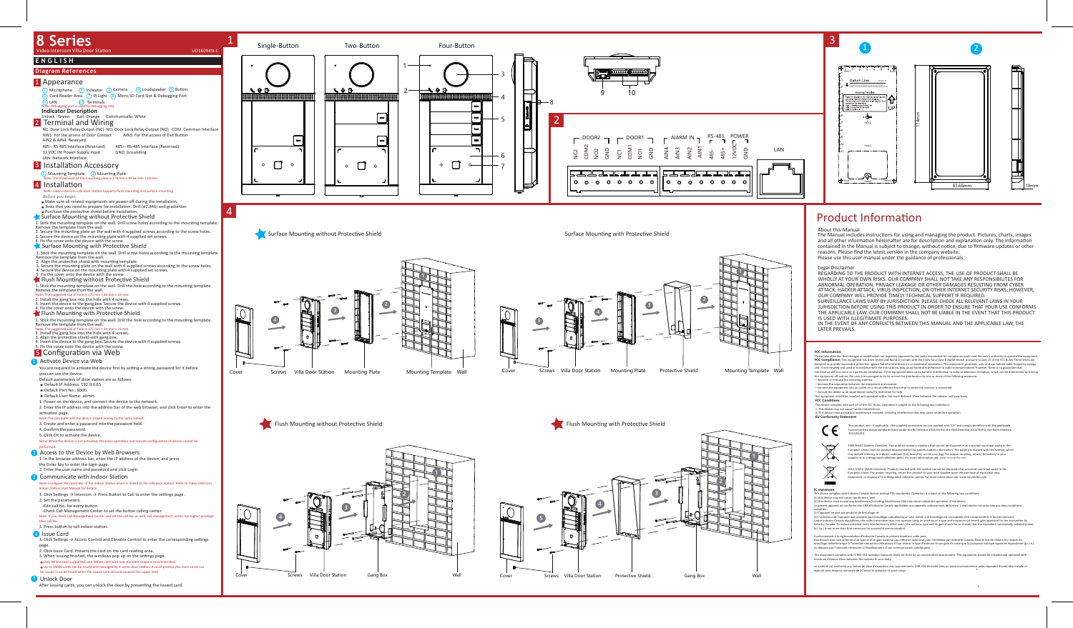

# 3



# Product Information





**FCC Conditions** —Connect the equipment into an outlet on a circuit different from that to which the receiver is connected.<br>—Consult the dealer or an experienced radio/TV technician for help.<br>This equipment should be installed and operated

#### This device complies with part 15 of the FCC Rules. Operation is subject to the following two conditions:



#### About this Manual

The Manual includes instructions for using and managing the product. Pictures, charts, images<br>and all other information hereinafter are for description and explanation only. The information contained in the Manual is subject to change, without notice, due to firmware updates or other reasons. Please find the latest version in the company website. Please use this user manual under the guidance of professionals.

.<br>Ésent appareil est conforme aux CNR d'Industrie Canada applicables aux appareils radioexempts de licence. L'exploitation est autorisée aux deux conditions suivantes : (1) l'appareil ne doit pas produire de brouillage, et

(2) Tuilistatur de l'appareil doit accepter tout brouillage radioelectique subi, même si e brouillage est susceptible d'enconnementalement of the state of the state of the state of the state of the transmitter by<br>Industry

Conformément à la réglementation d'Industrie Canada, le présent émetteur radio peut<br>fonctionner avec une antenne d'un type et d'un gain maximal (ou inférieur) approuvé pour l'emetteur par indust<br>houtilage radioélectrique à

This equipment complies with IC RSS-102 radiation exposure limits set forth for an uncontrolled environment. This equipment should be installed and operated with<br>minimum distance 20cm between the radiator & your body.

ce matériel est conforme aux limites de dose d'exposition aux rayonnements, CNR-102 énoncée dans un autre environnement cette eqipment devrait être installé et<br>exploité avec distance minimale de 20 entre le radiateur et vo

#### Legal Disclaimer

REGARDING TO THE PRODUCT WITH INTERNET ACCESS, THE USE OF PRODUCT SHALL BE WHOLLY AT YOUR OWN RISKS. OUR COMPANY SHALL NOT TAKE ANY RESPONSIBILITES FOR ABNORMAL OPERATION, PRIVACY LEAKAGE OR OTHER DAMAGES RESULTING FROM CYBER ATTACK, HACKER ATTACK, VIRUS INSPECTION, OR OTHER INTERNET SECURITY RISKS; HOWEVER, OUR COMPANY WILL PROVIDE TIMELY TECHNICAL SUPPORT IF REQUIRED. SURVEILLANCE LAWS VARY BY JURISDICTION. PLEASE CHECK ALL RELEVANT LAWS IN YOUR JURISDICTION BEFORE USING THIS PRODUCT IN ORDER TO ENSURE THAT YOUR USE CONFORMS

THE APPLICABLE LAW. OUR COMPANY SHALL NOT BE LIABLE IN THE EVENT THAT THIS PRODUCT IS USED WITH ILLEGITIMATE PURPOSES.

IN THE EVENT OF ANY CONFLICTS BETWEEN THIS MANUAL AND THE APPLICABLE LAW, THE LATER PREVAILS.

**FCC information**<br>Please take attention that changes or modification not expressly approved by the party responsible for compliance could void the user's authority to operate the equipment.<br>**FCC compliance**: This equipment



1. This device may not cause harmful interference. 2. This device must accept any interference received, including interference that may cause undesired opera�on. **EU Conformity Statement**



This product and - if applicable - the supplied accessories too are marked with "CE" and comply therefore with the applicable<br>harmonized European standards listed under the RE Directive 2014/53/EU, the EMC Directive 2014/3



2006/66/CC (battery directive): This product contains a battery that cannot be disposed of as unsorted municipal waste in the<br>European Union. See the product documentation for specific battery information. The battery is m



2012/19/EU (WEEE directive): Products marked with this symbol cannot be disposed of as unsorted municipal waste in the European Union. For proper recycling, return this product to your local supplier upon the purchase of equivalent new<br>equipment, or dispose of it at designated collection points. For more information see: www.recyclethis.in



This device complies with Industry Canada licences with Industry Canada licence-exempt RSS standard(s). Operation is subject to the following two conditions:

(1) this device may not cause interference, and (2) this device must accept any interference, including interference that may cause undesired opera�on of the device.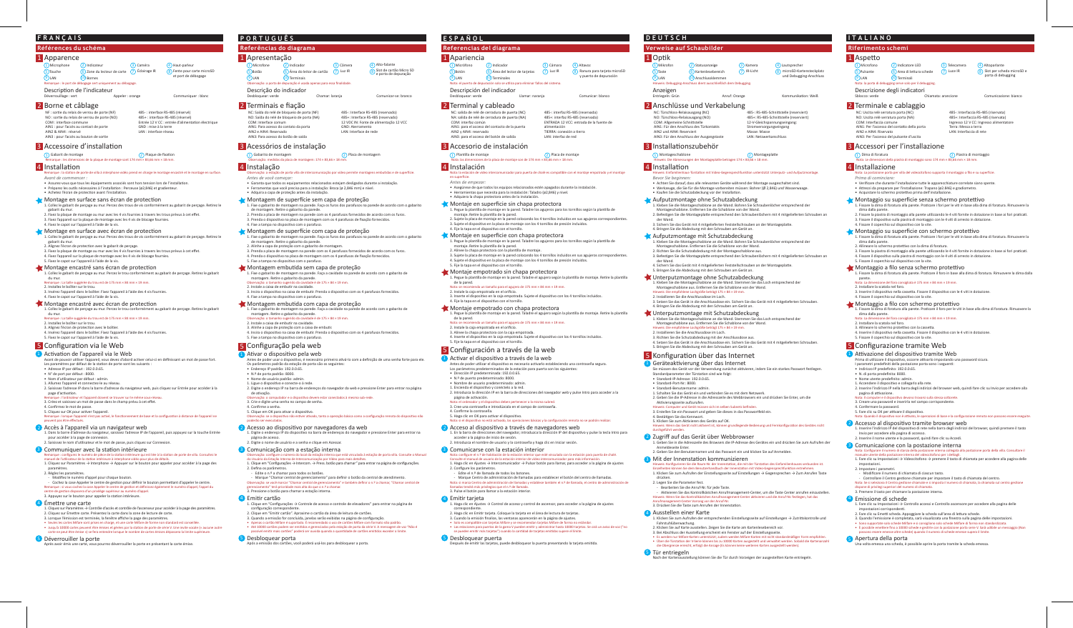#### **Références du schéma**

### 1 Apparence

Microphone (2) Indicateur (3) Caméra  $\overline{9}$ LAN 6 LAN (10) Bornes  $\overline{\mathcal{O}}$  Zone du lecteur de carte  $\overline{\mathcal{O}}$  Éclairage IR **Touche** marque : le port de débogage sert un

Description de l'indicateur Déverrouillage : vert

### **FRANÇAIS**

- *Avant de commencer :* • Assurez-vous que tous les équipements associés sont hors tension lors de l'installation.
- Préparez les outils nécessaires à l'installation : Perceuse (ø2,846) et gradienteur.<br>• Achetez l'écran de protection avant l'installation.

- Montage en surface sans écran de protection 1. Collez le gabarit de perçage au mur. Percez des trous de vis conformément au gabarit de perçage. Retirez le<br>gabarit du mur.
- 
- 2. Fixez la plaque de montage au mur avec les 4 vis fournies à travers les trous prévus à cet effet. 3. Fixez l'appareil sur la plaque de montage avec les 4 vis de blocage fournies. 4. Fixez le capot sur l'appareil à l'aide de la vis.

### Montage en surface avec écran de protection

Montage encastré sans écran de protection<br>1. Collez le gabarit de perçage au mur. Percez le trou conformément au gabarit de perçage. Retirez le gabarit .. Collez le gabarit de perçage au mur. Percez le trou c du mur. Remarque : La taille suggérée du trou est de 175 mm × 84 mm × 19 mm.

#### 2. Installez le boîtier sur le trou.

3. Insérez l'appareil dans le boîtier. Fixez l'appareil à l'aide des 4 vis fournies. 4. Fixez le capot sur l'appareil à l'aide de la vis.

#### Montage encastré avec écran de protection

3. Alignez l'écran de protection avec le boîtier.<br>4. Insérez l'appareil dans le boîtier. Fixez l'appareil à l'aide des 4 vis fournies. 5. Fixez le capot sur l'appareil à l'aide de la vis.

### 5 Configuration via le Web

- <sup>1</sup> Activation de l'appareil via le Web
- Avant de pouvoir utiliser l'appareil, vous devez d'abord activer celui-ci en définissant un mot de passe fort.<br>Les paramètres par défaut de la station de porte sont les suivants :
- Adresse IP par défaut : 192.0.0.65.
- 
- N° de port par défaut : 8000. Nom d'u�lisateur par défaut : admin.
- 1. Allumez l'appareil et connectez-le au réseau.
- 2. Saisissez l'adresse IP dans la barre d'adresse du navigateur web, puis cliquez sur Entrée pour accéder à la page d'activation.<br>Remarque : l'ordinateur et l'appareil doivent se trouver sur le même sous-réseau.

- 1. Collez le gabarit de perçage au mur. Percez des trous de vis conformément au gabarit de perçage. Re�rez le
- gabarit du mur.
- 2. Alignez l'écran de protec�on avec le gabarit de perçage. 3. Fixez la plaque de montage au mur avec les 4 vis fournies à travers les trous prévus à cet effet.
- 4. Fixez l'appareil sur la plaque de montage avec les 4 vis de blocage fournies. 5. Fixez le capot sur l'appareil à l'aide de la vis.

1. Collez le gabarit de perçage au mur. Percez le trou conformément au gabarit de perçage. Re�rez le gabarit du mur. Remarque : La taille suggérée du trou est de 175 mm × 84 mm × 19 mm.

#### 2. Installez le boîtier sur le trou.

3. Créez et saisissez un mot de passe dans le champ prévu à cet effet. 4. Confirmez le mot de passe.

5. Cliquez sur OK pour ac�ver l'appareil.

peuvent pas être effectués.

#### 2) Accès à l'appareil via un navigateur web

- 1. Fixe o gabarito de montagem na parede. Faça os furos dos parafusos na parede de acordo com o gabarito de montagem. Re�re o gabarito da parede. 2. Prenda a placa de montagem na parede com os 4 parafusos fornecidos de acordo com os furos. 3. Prenda o disposi�vo na placa de montagem com os 4 parafusos de fixação fornecidos.
- 4. Fixe a tampa no dispositivo com o parafuso. **Montagem de superfície com capa de proteção**
- 1. Fixe o gabarito de montagem na parede. Faça os furos dos parafusos na parede de acordo com o gabarito de montagem. Re�re o gabarito da parede. 2. Alinhe a capa de proteção com o gabarito de montagem. 3. Prenda a placa de montagem na parede com os 4 parafusos fornecidos de acordo com os furos.
- 4. Prenda o dispositivo na placa de montagem com os 4 parafusos de fixação fornecidos. 5. Fixe a tampa no disposi�vo com o parafuso.
- Montagem embutida sem capa de proteção<br>1. Fixe o gabarito de montagem na parede. Faça a cavidade na parede de acordo com o gabarito de 1. Fixe o gabarito de montagem na parede. Faça a cavidade na parede de acordo com o gabarito de<br>montagem. Retire o gabarito da parede.<br>Observação: o tamanho sugerido da cavidade é de 175 × 84 × 19 mm.
- 2. Instale a caixa de embu�r na cavidade. 3. Insira o dispositivo na caixa de embutir. Prenda o dispositivo com os 4 parafusos fornecidos.
- 4. Fixe a tampa no disposi�vo com o parafuso. Montagem embu�da com capa de proteção
- 1. Fixe o gabarito de montagem na parede. Faça a cavidade na parede de acordo com o gabarito de<br>montagem. Retire o gabarito da parede.<br>Observação: o tamanho sugerido da cavidade é de 175 × 84 × 19 mm.
- 
- 2. Instale a caixa de embu�r na cavidade. 3. Alinhe a capa de proteção com a caixa de embutir.<br>4. Insira o dispositivo na caixa de embutir. Prenda o dispositivo com os 4 parafusos fornecidos. 5. Fixe a tampa no dispositivo com o parafuso.

### 5 Configuração pela web

1. Dans la barre d'adresse du navigateur, saisissez l'adresse IP de l'appareil, puis appuyez sur la touche Entrée pour accéder à la page de connexion. 2. Saisissez le nom d'u�lisateur et le mot de passe, puis cliquez sur Connexion.

ement de base et la configuration à distance de l'app

### **3** Communiquer avec la station intérieure

- 
- Remarque : configurez le numéro de pièce de la station intérieure qui est liée à la station de porte de villa. Consultez le<br>manuel de l'utilisateur de la station intérieure à interphone vidéo pour plus de détails. 1. Cliquez sur Paramètres → Interphone → Appuyer sur le bouton pour appeler pour accéder à la page des
- paramètres. 2. Réglez les paramètres.
- Modifiez le numéro d'appel pour chaque bouton.
- Cochez la case Appeler le centre de gestion pour définir le bouton permettant d'appeler le centre.<br>Remarque : si vous cochez la case Appeler le centre de gestion et définiseze également le numéro d'appel, l'appel du<br>cent

#### 3. Appuyez sur le bouton pour appeler la station intérieure.

- 4 Émettre une carte
- 1. Cliquez sur Paramètres → Contrôle d'accès et contrôle de l'ascenseur pour accéder à la page des paramètres.<br>2. Cliquez sur Émettre carte. Présentez la carte dans la zone de lecture de carte.
- 3. Lorsque l'émission est terminée, la fenêtre affiche la page des paramètres.
- Seules les cartes Mifare sont prises en charge, et une carte Mifare de forme non standard est conseillée.<br>• Jusqu'à 10000 cartes peuvent être émises et gérées par la station de porte de série V. Une invite vocale (« aucu

#### 5 Déverrouiller la porte

 $\overline{\phantom{a}}$  and the carte avoir  $\overline{\phantom{a}}$  por text déverrouiller la porte en présentant la carte én présentant la carte én

- 1 Ativar o dispositivo pela web
- Antes de poder usar o dispositivo, é necessário primeiro ativá-lo com a definição de uma senha forte para ele.<br>Os parâmetros padrão da estação de porta são os seguintes: • Endereço IP padrão: 192.0.0.65.
- N.º de porta padrão: 8000.
- Nome de usuário padrão: admin. 1. Ligue o disposi�vo e conecte-o à rede.
- 2. Digite o endereço IP na barra de endereços do navegador da web e pressione Enter para entrar na página
- de ativação.<br>Observação: o computador e o dispositivo devem estar conectados à mesma sub-rede.
- 3. Crie e digite uma senha no campo de senha. 4. Confirme a senha.
- 5. Clique em OK para a�var o disposi�vo.
- or<br>vado, tanto a operação básica como a configuração remota do dispositivo não poderão ser executadas.

#### 2) Acesso ao dispositivo por navegadores da web

- Observação: configure o número do local da estação interna que está vinculada à estação de porta villa. Consulte o Manual do Usuário da Estação Interna de Intercomunicação por Vídeo para mais detalhes. 1. Clique em "Configurações → Intercom. → Press. botão para chamar" para entrar na página de configurações.
- 2. Defina os parâmetros. Edite o n.º a chamar para todos os botões.
- Marque "Chamar central de gerenciamento" para definir o botão da central de atendimento.<br>Observação: se você marcar "Chamar central de gerenciamento" e também definir o n.º a chamar, "Chamar central de gerenciamento" (pr

1. Clique em "Configurações → Controle de acesso e controle de elevadores" para entrar na página de<br>- configuração correspondente.<br>2. Clique em "Emitir cartão". Aproxime o cartão da área de leitura de cartões.

3. Quando a emissão for concluída, janelas serão exibidas na página de configuração.<br>• Apenas o cartão Mífare é suportado. É recomendado o uso de cartões Mífare com formato não padrão.<br>• Até 10000 cartões podem ser emitido

.<br>Após dos cartões, você poderá usá-los para desbloquear a porta.

4 Emitir cartão

**5** Desbloquear porta

### 2 Borne et câblage

NF : sortie du relais de verrou de porte (NF NO : sor�e du relais de verrou de porte (NO) COM : interface commune AIN1 : pour l'accès au contact de porte AIN2 & AIN4 : réservé AIN3 : pour l'accès au bouton de sortie

### 3 Accessoire d'installation

1) Gabarit de montage  $(2)$  Plaque de fixation<br>Remarque : les dimensions de la plaque de montage sont 174 mm × 83,66 mm × 18 mm.

### 4 Installation

ue : la station de porte de villa à interphone vidéo prend en charge le montage encastré et le montage en surface

485- : interface RS-485 (réservé) 485+ : interface RS-485 (réservé) Entrée 12 V CC : entrée d'alimenta�on électrique

GND : mise à la terre LAN : interface réseau

Alto-falante Luz IR (8) Slot de cartão Micro SD<br>e porta de depuração

Haut-parleur <sup>(8)</sup> Fente pour carte microSD et port de débogage

Microfone (2) Indicador (3) Câmera  $\overline{9}$ LAN 6 Área do leitor de cartão 7 LAN (10) Terminais 5 Botão

#### rvação: a porta de depuração é usada a

Descrição do indicador<br>Desbloquear: verde Chamar: laranja Comunicar-se: branco

### **Referências do diagrama**

• Asegúrese de que todos los equipos relacionados estén apagados durante la instalación. • Herramientas que necesita para la instalación: Taladro (ø2,846) y nivel. • Adquiera la chapa protectora antes de la instalación. **Montaje en superficie sin chapa protectora** 

1 Plantilla de montaje 2 Placa de montaje

1 Micrófono (2 Indicador 13 Cámara

 $\overline{a}$ Área del lector de tarjetas  $\overline{a}$  Luz IR

n las dimensiones de la placa de montaje son de 174 mm × 83,66 mm × 18 mm.

### **PORTUGUÊS**

### Apresentação 1

### Acessórios de instalação 3

1) Gabarito de montagem 2 placa de montagem (2) Placa de montagem<br>Observação: medidas da placa de montagem: 174 × 83,66 × 18 mm.

# 4 Instalação

Observação: a estação de porta villa de intercomunicação por vídeo permite montagens embu�das e de super�cie.

2. Sujete la placa de montaje en la pared colocando los 4 tornillos incluidos en sus agujeros corres 3. Sujete el disposi�vo en la placa de montaje con los 4 tornillos de presión incluidos.

*Antes de você começar:* • Garanta que todos os equipamentos relacionados estejam desligados durante a instalação. • Ferramentas que você precisa para a instalação: Broca (ø 2,846 mm) e nível. • Adquira a capa de proteção antes da instalação.

### Montagem de superfície sem capa de proteção

• Dirección IP predeterminada: 192.0.0.65. • N.º de puerto predeterminado: 8000. • Nombre de usuario predeterminado: admin. 1. Encienda el dispositivo y conéctelo a la red.

5. Haga clic en OK para activar el dispositivo.

**3** Comunicarse con la estación interior

6 LAN (10) Terminales

5 Botón vota: el puerto de de

4 Instalación

• Achten Sie darauf, dass alle relevanten Geräte während der Montage ausgeschaltet sind. • Werkzeuge, die Sie für die Montage vorbereiten müssen: Bohrer (Ø 2,846) und Wasserwaage.<br>• Kaufen Sie die Schutzabdeckung vor der Installation.

1. Digite o endereço IP do disposi�vo na barra de endereços do navegador e pressione Enter para entrar na página de acesso. 2. Digite o nome de usuário e a senha e clique em Acessar.

### **3** Comunicação com a estação interna

1. Kleben Sie die Montageschablone an die Wand. Bohren Sie Schraubenlöcher entsprechend der<br> Montageschablone. Entfernen Sie die Schablone von der Wand.<br>2. Richten Sie die Schutzabdeckung mit der Montageschablone aus. 3. Befes�gen Sie die Montagepla�e entsprechend den Schraubenlöchern mit 4 mitgelieferten Schrauben an

Hinweis: Die empfohlene Lochgröße beträgt 175 × 84 × 19 mm.<br>2. Installieren Sie die Anschlussdose im Loch.<br>3. Setzen Sie das Gerät in die Anschlussdose ein. Sichern Sie das Gerät mit 4 mitgelieferten Schrauben. 4. Bringen Sie die Abdeckung mit den Schrauben am Gerät an.

5. Klicken Sie zum Aktivieren des Geräts auf OK.<br>Hinweis: Wenn das Gerät nicht aktiviert ist. können e Hinweis: Wenn das Gerät nicht ak�viert ist, können grundlegende Bedienung und Fernkonfigura�on des Gerätes nicht

2 Zugriff auf das Gerät über Webbrowser 1. Geben Sie in die Adresszeile des Browsers die IP-Adresse des Gerätes ein und drücken Sie zum Aufrufen der

### 2 Terminais e fiação

NC: Saída do relé de bloqueio de porta (NF) NO: Saída do relé de bloqueio de porta (NA)

#### COM: Interface comum AIN1: Para acesso do contato da porta

Aktivieren Sie das Kontrollkästchen Anrufmanagement-Center, um die Taste Center anrufen einzustellen. inweis: Wenn Sie das Kontrollkästchen Anrufmanagement-Center aktivieren und die Anruf-Nr. festlegen, hat das Anrufmanagement-Center Vorrang vor der Anruf-Nr.

3. Drücken Sie die Taste zum Anrufen der Innenstation

AIN2 e AIN4: Reservado AIN3: Para acesso do botão de saída

485-: Interface RS-485 (reservado)

485+: Interface RS-485 (reservado) 12 VDC IN: Fonte de alimentação 12 VCC GND: Aterramento LAN: Interface de rede

**Referencias del diagrama**

485-: RS-485-Schnittstelle (reserviert) 485+: RS-485-Schnittstelle (reserviert 12-V-Gleichspannungseingang: tromversorgungseingang Masse: Masse LAN: Netzwerkanschluss

1) Montageschablone 2 Montageplatte betragen 174 × 83,66 × 18 mm.<br>Hinweis: Die Abmessungen der Montageplatte betragen 174 × 83,66 × 18 mm.

**ESPAÑOL**

1 Apariencia

 $\overline{9}$ LAN

Accesorio de instalación 3

Nota: la estación de vídeo intercomunicador para puerta de chalé es compa�ble con el montaje empotrado y el montaje

en superficie. *Antes de empezar:*

- Nota: La postazione porta per villa del videocitofono supporta il montaggio a filo e su superficie. *Prima di cominciare:*
- Verificare che durante l'installazione tutte le apparecchiature correlate siano spente.
- 

- 1. Fissare la dima di foratura alla parete. Pra�care i fori per le vi� in base alla dima di foratura. Rimuovere la dima dalla parete.
- 2. Fissare la piastra di montaggio alla parete utilizzando le 4 viti fornite in dotazione in base ai fori praticati. 3. Fissare il dispositivo sulla piastra di montaggio con le 4 viti di arresto in dotazione.<br>4. Fissare il coperchio sul dispositivo con la vite.
- 

### $\blacklozenge$  Montaggio su superficie con schermo protettivo

1. Pegue la plan�lla de montaje en la pared. Taladre los agujeros para los tornillos según la plan�lla de

- 1. Fissare la dima di foratura alla parete. Pra�care i fori per le vi� in base alla dima di foratura. Rimuovere la dima dalla parete.
- 
- 2. Allineare lo schermo protettivo con la dima di foratura.<br>3. Fissare la piastra di montaggio alla parete utilizzando le 4 viti fornite in dotazione in base ai fori praticati. 4. Fissare il dispositivo sulla piastra di montaggio con le 4 viti di arresto in dotazione.

1. Fissare la dima di foratura alla parete. Pra�care il foro in base alla dima di foratura. Rimuovere la dima dalla parete.<br>Iota: La dime ensione del foro consigliata è 175 mm × 84 mm × 19 mm.

1. Pegue la plan�lla de montaje en la pared. Taladre los agujeros para los tornillos según la plan�lla de

4. Sujete el dispositivo en la placa de montaje con los 4 tornillos de presión incluidos

- 2. Installare la scatola nel foro.
- 
- 3. Inserire il dispositivo nella cassetta. Fissare il dispositivo con le 4 viti in dotazione.<br>4. Fissare il coperchio sul dispositivo con la vite.

### Montaggio a filo con schermo protettivo

1. Fissare la dima di foratura alla parete. Praticare il foro per le viti in base alla dima di foratura. Rimuo

2. Alinee la chapa protectora con la plan�lla de montaje. 3. Sujete la placa de montaje en la pared colocando los 4 tornillos incluidos en sus agujeros correspondientes.

1. Pegue la plantilla de montaje en la pared. Taladre el agujero según la plantilla de montaje. Retire la plantilla<br>— de la pared.<br>Nota: se recomienda un tamaño para el agujero de 175 mm × 84 mm × 19 mm.

1. Pegue la plantilla de montaje en la pared. Taladre el agujero según la plantilla de montaje. Retire la plantilla

2. Instale la caja empotrada en el oríficio.<br>3. Inserte el dispositivo en la caja empotrada. Sujete el dispositivo con los 4 tornillos incluidos.<br>4. Fije la tapa en el dispositivo con el tornillo.

3. Alinee la chapa protectora con la caja empotrada.<br>4. Inserte el dispositivo en la caja empotrada. Sujete el dispositivo con los 4 tornillos incluidos.

Antes de poder utilizar el dispositivo es necesario activarlo estableciendo una contraseña segura.<br>Los parámetros predeterminados de la estación para puerta son los siguientes:

- 2. Installare la scatola nel foro.
- 
- 3. Allineare lo schermo protettivo con la cassetta.<br>4. Inserire il dispositivo nella cassetta. Fissare il dispositivo con le 4 viti in dotazione. 5. Fissare il coperchio sul dispositivo con la vite.

## 5 Configurazione tramite Web

### <sup>1</sup> Attivazione del dispositivo tramite Web

Prima di utilizzare il dispositivo, occorre attivarlo impostando una password sicura.<br>I parametri predefiniti della postazione porta sono i seguenti:

5. Fije la tapa en el disposi�vo con el tornillo.

Montaje empotrado sin chapa protectora

Montaje empotrado con chapa protectora

5 Configuración a través de la web 1 Activar el dispositivo a través de la web

- 2 Accesso al dispositivo tramite browser web 1. Inserire l'indirizzo IP del disposi�vo di rete nella barra degli indirizzi del browser, quindi premere il tasto Invio per accedere alla pagina di accesso.
- 2. Inserire il nome utente e la password, quindi fare clic su Accedi.

#### **3** Comunicazione con la postazione interna

de la pared.

Nota: se recomienda un tamaño para el agujero de 175 mm × 84 mm × 19 mm.

- Nota: Configurare il numero di stanza della postazione interna collegata alla postazione porta della villa. Consultare il<br>manuale utente della postazione interna del videocitofono per i dettagli.
- 1. Fare clic su Impostazioni → Videocitofono → premere il tasto di chiamata per accedere alla pagina delle

- Controllare il Centro gestione chiamate per impostare il tasto di chiamata del centro.<br>Nota: Se si seleziona il Centro gestione chiamate e si imposta il numero di chiamata, la chiamata sul centro gestione<br>dispone di priv

2. Instale la caja empotrada en el orificio.

5. Fije la tapa en el disposi�vo con el tornillo.

2. Introduzca la dirección IP en la barra de direcciones del navegador web y pulse Intro para acceder a la

1. En la barra de direcciones del navegador, introduzca la dirección IP del dispositivo y pulse la tecla Intro para<br>acceder a la página de inicio de sesión.

página de ac�vación. Nota: el ordenador y el disposi�vo deben pertenecer a la misma subred. 3. Cree una contraseña e introdúzcala en el campo de contraseña.

2) Acceso al dispositivo a través de navegadores web

LAN (10) Terminali Nota: la porta di debugging serve solo per il debugging.

Descrizione degli indicatori Sblocco: verde

6) Area di lettura schede (7

4. Confirme la contraseña.

4 Emitir tarjeta

5 Desbloquear puerta

**Montaje en superficie con chapa protectora** 

2. Introduzca el nombre de usuario y la contraseña y haga clic en Iniciar sesión.

Nota: configure el n.º de habitación de la estación interior que esté vinculado con la estación para puerta de chalé. Consulte el manual de usuario de la estación interior de vídeo intercomunicador para más información. 1. Haga clic en Ajustes → Intercomunicador → Pulsar botón para llamar, para acceder a la página de ajustes

2. Configure los parámetros. - Edite el n.º de llamada de todos los botones.

- Marque Centro de administración de llamadas para establecer el botón del centro de llamadas. Nota: si marca Centro de administración de llamadas y establece también el n.º de llamada, el centro de administración de

3. Cuando la emisión finalice, las ventanas aparecerán en la página de ajustes.<br>• Solo es compatible con tarjetas Mifare y se recomiendan tarjetas Mifare de forma no estándar.<br>• las estaciones para puertas de la gama V pue

llamadas tendrá más privilegios que el n.º de llamada. 3. Pulse el botón para llamar a la estación interior.

1. Haga clic en Ajustes → Control de acceso y control de ascensor, para acceder a la página de ajustes

espués de emitir las tarjetas, puede desbloquear la puerta presentando la tarjeta emitida.

es básicas y la configuración remota no se podrán realizar.

correspondiente. 2. Haga clic en Emi�r tarjeta. Coloque la tarjeta en el área de lectura de tarjetas.

2 Terminal y cableado

NC: salida de relé de cerradura de puerta (NC) NA: salida de relé de cerradura de puerta (NA)

COM: interfaz común

Desbloquear: verde

AIN1: para el acceso del contacto de la puerta

montaje. Retire la plantilla de la pared.

4. Fije la tapa en el dispositivo con el tornillo.

montaje. Retire la plantilla de la pared.

AIN2 y AIN4: reservado AIN3: para el acceso del botón de salida 485-: interfaz RS-485 (reservada) 485+: interfaz RS-485 (reservada) ENTRADA 12 VCC: entrada de la fuente de alimentación<br>TIERRA: conexión a tierra LAN: interfaz de red

Altavoz <sup>8</sup> Ranura para tarjeta microSD y puerto de depuración

Descripción del indicador

# **Verweise auf Schaubilder**

**DEUTSCH**

3 Installationszubehör

#### Hinweis: Einfamilienhaus-Türsta�on mit Video-Gegensprechfunk�on unterstützt Unterputz- und Aufputzmontage.

*Bevor Sie beginnen:*

<mark>1</mark> Optik

 $\overline{9}$ LAN

5) Taste

### Aufputzmontage ohne Schutzabdeckung

1. Kleben Sie die Montageschablone an die Wand. Bohren Sie Schraubenlöcher entsprechend der Montageschablone. En�ernen Sie die Schablone von der Wand. 2. Befes�gen Sie die Montagepla�e entsprechend den Schraubenlöchern mit 4 mitgelieferten Schrauben an

der Wand.<br>3. Sichern Sie das Gerät mit 4 mitgelieferten Feststellschrauben an der Montageplatte.

#### 4. Bringen Sie die Abdeckung mit den Schrauben am Gerät an. Aufputzmontage mit Schutzabdeckung

der Wand.

4. Sichern Sie das Gerät mit 4 mitgelieferten Feststellschrauben an der Montagepla�e. 5. Bringen Sie die Abdeckung mit den Schrauben am Gerät an.

#### Unterputzmontage ohne Schutzabdeckung

1. Kleben Sie die Montageschablone an die Wand. Stemmen Sie das Loch entsprechend der Montageschablone aus. En�ernen Sie die Schablone von der Wand.

## Unterputzmontage mit Schutzabdeckung

1. Kleben Sie die Montageschablone an die Wand. Stemmen Sie das Loch entsprechend der<br>Montageschablone aus. Entfernen Sie die Schablone von der Wand.<br>Hinweis: Die empfohlene Lochgröße beträgt 175 × 84 × 19 mm.

# **Example 2. Installieren Sie die Anschlussdose im Loch.**<br>2. Installieren Sie die Anschlussdose im Loch.

3. Richten Sie die Schutzabdeckung mit der Anschlussdose aus. 4. Setzen Sie das Gerät in die Anschlussdose ein. Sichern Sie das Gerät mit 4 mitgelieferten Schrauben. 5. Bringen Sie die Abdeckung mit den Schrauben am Gerät an.

## 5 Konfiguration über das Internet

<sup>1</sup> Geräteaktivierung über das Internet

Sie müssen das Gerät vor der Verwendung zunächst aktivieren, indem Sie ein starkes Passwort festlegen.<br>Standardparameter der Türstation sind wie folgt:<br>• Standard-IP-Adresse: 192.0.0.65.

• Standard-Port-Nr.: 8000.

4. Bestätigen Sie das Kennwort.

• Standard-Benutzername: admin. 1. Schalten Sie das Gerät ein und verbinden Sie es mit dem Netzwerk. 2. Geben Sie die IP-Adresse in die Adresszeile des Webbrowsers ein und drücken Sie Enter, um die

Ak�vierungsseite aufzurufen. Hinweis: Computer und Gerät müssen sich im selben Subnetz befinden. 3. Erstellen Sie ein Passwort und geben Sie dieses in das Passwor�eld ein.

durchgeführt werden.

Anmeldeseite Enter.

4 Ausstellen einer Karte

5 Tür entriegeln

2. Geben Sie den Benutzernamen und das Passwort ein und klicken Sie auf Anmelden.

#### 3 Mit der Innenstation kommunizieren

Hinweis: Konfigurieren Sie die Raum-Nr. der Innensta�on, die mit der Türsta�on des Einfamilienhauses verbunden ist.

Einzelheiten können Sie dem Benutzerhandbuch der Innenstation mit Video-Gegensprechfunktion entnehmen.<br>1. Klicken Sie zum Aufrufen der Einstellungsseite auf Einstellungen → Gegensprechen → Zum Anrufen Taste

drücken. 2. Legen Sie die Parameter fest.

#### - Bearbeiten Sie die Anruf-Nr. für jede Taste.

1. Klicken Sie zum Aufrufen der entsprechenden Einstellungsseite auf Einstellungen → Zutri�skontrolle und

# Fahrstuhlüberwachung. 2. Klicken Sie auf Karte ausstellen. Zeigen Sie die Karte am Kartenlesebereich vor.

3. Bei Abschluss der Ausstellung erscheint ein Fenster auf der Einstellungsseite.<br>• Es werden nur Mifare-Karten unterstützt; zudem werden Mifare-Karten mit nicht standardmäßiger Form empfohlen.<br>• Über die Türstation der V-

tellung können Sie die Tür durch Vorzeigen der ausgestellten Karte entriegeln.

### 2 Anschlüsse und Verkabelung

NC: Türschloss-Relaisausgang (NC) NO: Türschloss-Relaisausgang (NO) COM: Allgemeine Schni�stelle AIN1: Für den Anschluss des Türkontakts AIN2 und AIN4: Reserviert AIN3: Für den Anschluss der Ausgangstaste

4 Installation

Lautsprecher roSD-Kartensteckplat und Debugging-Anschluss

Hinweis: Debugging-Anschluss dient ausschließlich dem Debugging.

Entriegeln: Grün **Anruf: Orange** 

Anzeigen

1) Mikrofon (2) Statusanzeige (3) Kamera (4 LAN (10) Anschlussklemmen Kartenlesebereich (7

## **Riferimento schemi**

### 1 Aspetto

 $\sqrt{2}$  Indicatore LED  $9$ IAN 5<sup>Pulsante</sup>

### **ITALIANO**

### Accessori per l'installazione 3

1) Dima di foratura<br>Nota: Le dimensioni della piastra di montaggio sono 174 mm × 83,66 mm × 18 mm.

## • A�rezzi da preparare per l'installazione: Trapano (ø2.846) e gradiometro. • Acquistare lo schermo prote�vo prima dell'installazione.

 $\blacktriangle$  Montaggio su superficie senza schermo protettivo

### 5. Fissare il coperchio sul disposi�vo con la vite.

### $\blacktriangle$  Montaggio a filo senza schermo protettivo

### dima dalla parete. Nota: La dimensione del foro consigliata è 175 mm × 84 mm × 19 mm.

- Indirizzo IP predefinito: 192.0.0.65.
- 
- N. di porta predefinita: 8000. Nome utente predefinito: admin.
- 1. Accendere il dispositivo e collegarlo alla rete.
- 2. Inserire l'indirizzo IP nella barra degli indirizzi del browser web, quindi fare clic su Invio per accedere alla
- pagina di attivazione.<br>Nota: Il computer e il dispositivo devono trovarsi sulla stessa sottorete.
- 3. Creare una password e inserirla nel campo corrispondente. 4. Confermare la password.
- 

# 5. Fare clic su OK per attivare il dispositivo.<br>Nota: Quando il dispositivo non è attivato, le operazioni di base e la configurazione remota non possono essere eseguite.

impostazioni. 2. Impostare i parametri.

- Modificare il numero di chiamata di ciascun tasto.

3. Premere il tasto per chiamare la postazione interna.

1. Fare clic su Impostazioni → Controllo accessi e Controllo ascensore per accedere alla pagina delle

3. Quando l'emissione è completata, sarà visualizzata una finestra sulla pagina delle impostazioni.<br>• Sono supportate solo schede Milfare e si consigliano solo schede Milfare di forma non standardizzata.<br>• È possibile eme

2. Fare clic su Emetti scheda. Appoggiare la scheda sull'area di lettura schede.

Una volta emessa una volta emessa una scheda emessa una scheda e

ssono essere emesse altre schede) quando il numero di schede

impostazioni corrisponden�.

Emissione di schede 4

**5** Apertura della porta

### 2 Terminale e cablaggio

NC: Uscita relè serratura porta (NC) NO: Uscita relè serratura porta (NA) COM: Interfaccia comune AIN1: Per l'accesso del conta�o della porta AIN2 e AIN4: Riservato AIN3: Per l'accesso del pulsante d'uscita

485-: Interfaccia RS-485 (riservata) 485+: Interfaccia RS-485 (riservata) Ingresso 12 V CC: Ingresso alimentatore Terra: Messa a terra LAN: Interfaccia di rete

Telecamera (4) Altoparlante<br>Luce IR (8) Slot per scheda microSD e<br>porta di debugging

### 4 Installazione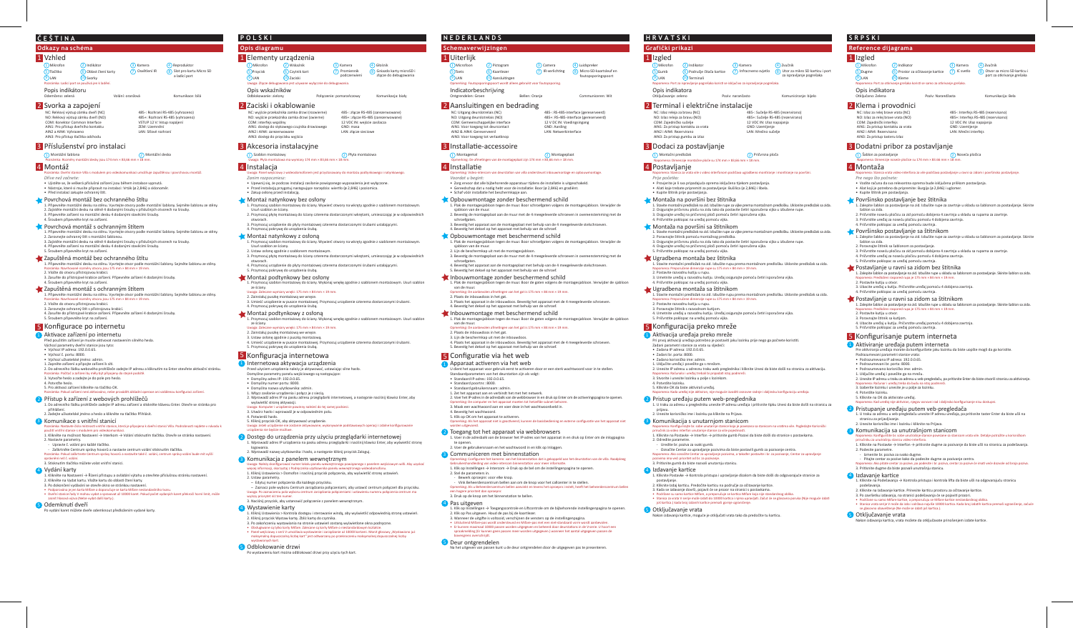### **Odkazy na schéma**

#### 1 Vzhled 2 Svorka a zapojení **Mikrofon**  $9)$ LAN 6) Oblast čtení karty (7 LAN (10) Svorky Reproduktor 8 Slot pro kartu Micro SD a ladicí port **5** Tlačítko Poznámka: Ladicí port se používá jen k ladění. Popis indikátoru<br><sub>Odemčeno: zelená</sub> Volání: oranžov

## **ČEŠTINA**

### Příslušenství pro instalaci 3

 $\boxed{1}$  Montážní šablona 2001)<br>Poznámka: Rozměry montážní desky jsou 174 mm × 83,66 mm × 18 mm.

### 4 Montáž

- Poznámka: Dveřní stanice Villa s modulem pro videokomunikaci umožňuje zapuštěnou i povrchovou montáž. *Dříve než začnete:*
- Ujistěte se, že veškerá příslušná zařízení jsou během instalace vypnutá
- Nástroje, které si musíte připravit na instalaci: Vrták (ø 2,846) a sklonoměr. Před instalací zakupte ochranný š�t.

### Povrchová montáž bez ochranného štítu

1. Připevněte montážní desku na stěnu. Vyvrtejte otvory podle montážní šablony. Sejměte šablonu ze stěny.<br>2. Zajistěte montážní desku na stěně 4 dodanými šrouby v příslušných otvorech na šrouby. 3. Připevněte zařízení na montážní desku 4 dodanými stavěcími šrouby. 4. Šroubem připevněte kryt na zařízení.

### Povrchová montáž s ochranným štítem

- Připevněte montážní desku na stěnu. Vyvrtejte otvory podle montážní šablony. Sejměte šablonu ze stěny.<br>-2. Zarovnejte ochranný štít s montážní šablonou.
- 3. Zajistěte montážní desku na stěně 4 dodanými šrouby v příslušných otvorech na šrouby. 4. Připevněte zařízení na montážní desku 4 dodanými stavěcími šrouby. 5. Šroubem připevněte kryt na zařízení.
- 
- Zapuštěná montáž bez ochranného štítu 1. Připevněte montážní desku na stěnu. Vyvrtejte otvor podle montážní šablony. Sejměte šablonu ze stěny. Poznámka: Navrhované rozměry otvoru jsou 175 mm × 84 mm × 19 mm.
- 2. Vložte do otvoru přístrojovou krabici. 3. Zasuňte do přístrojové krabice zařízení. Připevněte zařízení 4 dodanými šrouby. 4. Šroubem připevněte kryt na zařízení.

#### Zapuštěná montáž s ochranným štítem

- **3** Komunikace s vnitřní stanicí .<br>Poznámka: Nastavie připojena k dveřní stanici Villa. Podrobnosti najdete v návodu k
- použití vnitřní stanice s modulem pro videokomunikaci.<br>1. Klikněte na možnost Nastavení → Interkom → Volání stisknutím tlačítka. Otevře se stránka nastavení.
- 2. Nastavte parametry. - Upravte č. volání pro každé tlačítko.
- Zaškrtněte Centrum správy hovorů a nastavte centrum volání s�sknu�m tlačítka. Poznámka: Pokud zaškrtnete Centrum správy hovorů a nastavíte také č. volání, centrum správy volání bude mít vyšší

oprávnění než č. volání.<br>3. Stisknutím tlačítka můžete volat vnitřní stanici.

- 1. Připevněte montážní desku na stěnu. Vyvrtejte otvor podle montážní šablony. Sejměte šablonu ze stěny. Poznámka: Navrhované rozměry otvoru jsou 175 mm × 84 mm × 19 mm. 2. Vložte do otvoru přístrojovou krabici.
- 3. Zarovnejte ochranný štíť s přístrojovou krabicí
- 4. Zasuňte do přístrojové krabice zařízení. Připevněte zařízení 4 dodanými šrouby. 5. Šroubem připevněte kryt na zařízení.

### 5 Konfigurace po internetu

- <sup>1</sup> Aktivace zařízení po internetu
- ed použitím zařízení je musíte aktivovat nasta
- Výchozí parametry dveřní stanice jsou tyto: • Výchozí IP adresa: 192.0.0.65.
- 
- Výchozí č. portu: 8000. Výchozí uživatelské jméno: admin.
- 1. Zapněte zařízení a připojte zařízení k sí�.
- 2. Do adresního řádku webového prohlížeče zadejte IP adresu a kliknutím na Enter otevřete aktivační stránku.<br>Poznámka: Počítač a zařízení by měly být připojeny do stejné podsítě.
- 3. Vytvořte heslo a zadejte je do pole pro heslo.
- 4. Potvrďte heslo. 5. Pro aktivaci zařízení klikněte na tlačítko OK.
- a: Pokud zařízení není aktivováno, nelze provádět základní operace ani vzdálenou konfiguraci zařízení

#### 2) Přístup k zařízení z webových prohlížečů

- Akcesoria instalacyjne 3
- $\overline{1}$  Szablon montażowy 2 Płyta montażowa (2) Płyta montażowa<br>Uwaga: Płyta montażowa ma wymiary 174 mm × 83,66 mm × 18 mm.

# 4 Instalacja

1. Do adresního řádku prohlížeče zadejte IP adresu zařízení a s�skněte klávesu Enter. Otevře se stránka pro přihlášení.

### 2. Zadejte uživatelské jméno a heslo a klikněte na tlačítko Přihlásit.

- 1. Przymocuj szablon montażowy do ściany. Wywierć otwory na wkręty zgodnie z szablonem monta Usuń szablon ze ściany. 2. Przymocuj płytę montażową do ściany czterema dostarczonymi wkrętami, umieszczając je w odpowiednich
- otworach. 3. Przymocuj urządzenie do płyty montażowej czterema dostarczonymi śrubami ustalającymi.
- 4. Przymocuj pokrywę do urządzenia śrubą.
- Montaż natynkowy z osłoną
- 1. Przymocuj szablon montażowy do ściany. Wywierć otwory na wkręty zgodnie z szablonem mo Usuń szablon ze ściany. 2. Ustaw osłonę zgodnie z szablonem montażowym.
- 3. Przymocuj płytę montażową do ściany czterema dostarczonymi wkrętami, umieszczając je w odpowiednich
- otworach. 4. Przymocuj urządzenie do płyty montażowej czterema dostarczonymi śrubami ustalającymi. 5. Przymocuj pokrywę do urządzenia śrubą.

- Vydání karty 4
- 1. Klikněte na Nastavení → Řízení přístupu a ovládání výtahu a otevřete příslušnou stránku nastavení. 2. Klikněte na Vydat kartu. Vložte kartu do oblasti čtení karty.
- 
- 3. Po dokončení vydávání se otevře okno se stránkou nastavení.<br>◆ Podporována je jen karta Mífare a doporučuje se karta Mífare nestandardního tvaru.<br>◆ Dveřní stanice řady V mohou vydat a spravovat až 10000 karet. Pokud poč
- zaznít hlasová výzva (Nelze vydat další karty.).

#### 5 Odemknutí dveří

vydání karet můžete dveře odemknout předložením vydané karty.

- 1 Internetowa aktywacja urządzenia Przed użyciem urządzenia należy je aktywować, ustawiając silne hasło. Domyślne parametry panelu wejściowego są następujące: • Domyślny adres IP: 192.0.0.65.
- 
- Domyślny numer portu: 8000.
- Domyślna nazwa użytkownika: admin. 1. Włącz zasilanie urządzenia i połącz je z siecią.
- 2. Wprowadź adres IP na pasku adresu przeglądarki internetowej, a następnie naciśnij klawisz Enter, aby wyświetlić stronę aktywacji.
- <sub>2</sub>,..<br>powinny należeć do tej samej podsieci.
- 3. Utwórz hasło i wprowadź je w odpowiednim polu. 4. Potwierdź hasło.
- 5. Kliknij przycisk OK, aby aktywować urządzenie.
- Uwaga: Jeżeli urządzenie nie zostanie aktywowane, wykonywanie podstawowych operacji i zdalne konfigurowanie urządzenia nie będzie możliwe.
- 2 Dostęp do urządzenia przy użyciu przeglądarki internetowej 1. Wprowadź adres IP urządzenia na pasku adresu przeglądarki i naciśnij klawisz Enter, aby wyświetlić stronę logowania. 2. Wprowadź nazwę użytkownika i hasło, a następnie kliknij przycisk Zaloguj.

#### **3** Komunikacja z panelem wewnętrznym

Uwaga: Należy skonfigurować numer lokalu panelu wewnętrznego powiązanego z panelem wejściowym willi. Aby uzyskać<br>więcej informacji, skorzystaj z Podręcznika użytkownika panelu wewnętrznego wideodomofonu.<br>1. Kliknij Ustawie 2. Ustaw parametry.

NC: Reléový výstup zámku dveří (NC) NO: Reléový výstup zámku dveří (NO) COM: Konektor Common Interface AIN1: Pro přístup dveřního kontaktu AIN2 a AIN4: Vyhrazeno AIN3: Pro přístup tlačítka odchodu

- 1. Kliknij Ustawienia > Kontrola dostępu i sterowanie windą, aby wyświetlić odpowiednią stronę ustawień.
- 
- 2. Kliknij przycisk Wystaw kartę. Zbliż kartę do czytnika.<br>3. Po zakończeniu wystawiania na stronie ustawień zostaną wyświetlone okna podręczne.<br>• Obsługiwane są tylko karty Mifare. Zalecane są karty Mifare o niestandardow

### 5 Odblokowanie drzwi

485-: Rozhraní RS-485 (vyhrazeno) 485+: Rozhraní RS-485 (vyhrazeno) VSTUP 12 V: Vstup napájení ZEM: Uzemnění LAN: Síťové rozhraní

# **Opis diagramu**

#### 1 Elementy urządzenia 1) Mikrofon (2) Wskaźnik (3) Kamera (4

 $9$ IAN 6 Czytnik kart 7 LAN (10) Zaciski **5** Przycisk

# **POLSKI**

- Uwaga: Panel wejściowy z wideodomofonem jest przystosowany do montażu podtynkowego i natynkowego. *Zanim rozpoczniesz:*
- Upewnij się, że podczas instalacji zasilanie powiązanego wyposażenia jest wyłączone. • Przed instalacją przygotuj następujące narzędzia: wiertło (ø 2,846) i poziomica. • Zakup osłonę przed instalacją.

*Prije početka:* • Provjerite je li sva pripadajuća oprema isključena tijekom postavljanja.<br>• Alati koje trebate pripremiti za postavljanje: Bušilica (ø 2,846) i libela.<br>• Kupite štitnik prije postavljanja.

### $\triangle$ r Montaža na površini bez štitnika

1. Stavite montažni predložak na zid. Izbušite rupe za vijke prema montažnom predlošku. Uklonite predložak sa zida.<br>2. Osigurajte pričvrsnu ploču na zidu tako da postavite četiri isporučena vijka u izbušene rupe.

# 3. Osigurajte uređaj na pričvrsnoj ploči pomoću četiri isporučena vijka.<br>4. Pričvrstite poklopac na uređaj pomoću vijka.

 $\blacklozenge$  Montaža na površini sa štitnikom

. Stavite montažni predložak na zid. Izbušite rupe za vijke prema montažnom predlošku. Uklonite predložak sa zida 2. Poravnajte štitnik pomoću montažnog predloška.

3. Osigurajte pričvrsnu ploču na zidu tako da postavite četiri isporučena vijka u izbušene rupe. 4. Osigurajte uređaj na pričvrsnoj ploči pomoću četiri isporučena vijka.<br>5. Pričvrstite poklopac na uređaj pomoću vijka.

### $\bigcup$  Ugradbena montaža bez štitnika

### Montaż natynkowy bez osłony

2. Postavite razvodnu ku�ju u rupu. 3. Poravnajte štitnik s razvodnom kutijom.

#### Montaż podtynkowy bez osłony

2. Unesite IP adresu u adresnu traku web preglednika i kliknite Unesi da biste došli na stranicu za ak�vaciju. Napomena: Računalo i uređaj trebali bi pripadati istoj podmreži.<br>3. Stvorite i unesite lozinku u polje s lozinkom.

#### nena: Kada uređaj nije aktiviran, nije moguće izvoditi osnovne radnje i daljinsku konfiguraciju uređaja.

4. Potvrdite lozinku. 5. Kliknite OK da biste aktivirali uređaj.

2 Pristup uređaju putem web-preglednika 1. U traku za adresu u pregledniku unesite IP adresu uređaja i pri�snite �pku Unesi da biste došli na stranicu za

### prijavu. 2. Unesite korisničko ime i lozinku pa kliknite na Prijava. **3** Komunikacija s unutarnjom stanicom

m na vratima vile. Pogledajte Korisničk priručnik za video interfon unutarnje stanice za više pojedinosti.<br>1. Kliknite na Postavke → Interfon → pritisnite gumb Pozovi da biste došli do stranice s postavkama.

- 1. Przymocuj szablon montażowy do ściany. Wykonaj wnękę zgodnie z szablonem montażowym. Usuń szablon ze ściany. Uwaga: Zalecane wymiary wnęki: 175 mm × 84 mm × 19 mm.
- 2. Zainstaluj puszkę montażową we wnęce.
- 3. Umieść urządzenie w puszce montażowej. Przymocuj urządzenie czterema dostarczonymi śrubami. 4. Przymocuj pokrywę do urządzenia śrubą.
- Montaż podtynkowy z osłoną
- 1. Przymocuj szablon montażowy do ściany. Wykonaj wnękę zgodnie z szablonem montażowym. Usuń szablon ze ściany. Uwaga: Zalecane wymiary wnęki: 175 mm × 84 mm × 19 mm.
- 2. Zainstaluj puszkę montażową we wnęce.
- 3. Ustaw osłonę zgodnie z puszką montażową. 4. Umieść urządzenie w puszce montażowej. Przymocuj urządzenie czterema dostarczonymi śrubami. 5. Przymocuj pokrywę do urządzenia śrubą.

### 5 Konfiguracja internetowa

- Označite Centar za upravljanje pozivima da biste postavili gumb za pozivanje centra. Napomena: Ako označite Centar za upravljanje pozivima, a također postavite i br. za pozivanje, Centar za upravljanje<br>pozivima ima veći prioritet od br. za pozivanje.<br>3. Pritisnite gumb da biste nazvali unutarnju stanicu.

- *Pre nego što počnete:* • Vodite računa da sva relevantna oprema bude isključena prilikom postavljanja.
- Alat koji je potrebno da pripremite: Burgija (ø 2,846) i uglomer.<br>• Kupite štitnik pre postavljanja.
- 

### Površinsko postavljanje bez štitnika

- 2. Pričvrs�te noseću pločicu za zid pomoću dobijena 4 zavrtnja u skladu sa rupama za zavrtnje.
- 
- 3. Pričvrstite uređaj za noseću pločicu pomoću 4 dobijena zavrtnja.<br>4. Pričvrstite poklopac za uređaj pomoću zavrtnja.

#### Površinsko postavljanje sa štitnikom

#### – Edytuj numer połączenia dla każdego przycisku.

- Zaznacz pole wyboru Centrum zarządzania połączeniami, aby ustawić centrum połączeń dla przycisku. Uwaga: Po zaznaczeniu pola wyboru centrum zarządzania połączeniami i ustawieniu numeru połączenia centrum ma wyższy priorytet niż ten numer.
- 3. Naciśnij przycisk, aby ustanowić połączenie z panelem wewnętrznym.
- Podrazumevani parametri stanice vrata:
- Podrazumevana IP adresa: 192.0.0.65.
- Podrazumevani br. porta: 8000. • Podrazumevano korisničko ime: admin.
- 
- 1. Uključite uređaj i povežite ga na mrežu.<br>2. Unesite IP adresu u traku za adresu u veb-pregledaču, pa pritisnite Enter da biste otvorili stranicu za aktiviranje.
- Napomena: Računar i uređaj treba da budu na istoj podmre
- 3. Izaberite lozinku i unesite je u polje za lozinku.
- 4. Potvrdite lozinku.
- 5. Kliknite na OK da ak�virate uređaj. na: Kad uređaj nije aktiviran, njegov osnovi

### 2 Pristupanje uređaju putem veb-pregledača

Po wystawieniu kart można odblokować drzwi przy użyciu tych kart.

#### Wystawienie karty 4

### 2 Zaciski i okablowanie

COM: interfejs wspólny

NC: wyjście przekaźnika zamka drzwi (rozwierne) NO: wyjście przekaźnika zamka drzwi (zwierne) AIN1: dostęp do stykowego czujnika drzwiowego 485-: złącze RS-485 (zarezerwow 485+: złącze RS-485 (zarezerwowane) 12 VDC IN: wejście zasilacza GND: masa LAN: złącze sieciowe

AIN2 i AIN4: zarezerwowane AIN3: dostęp do przycisku wyjścia Głośnik

Promiennik

485-: Interfejs RS-485 (rezervisano 485+: Interfejs RS-485 (rezervisano) 12 VDC IN: Ulaz napajanja GND: Uzemljenje LAN: Mrežni interfejs

Poziv: Narandžasta Komunikacija: Bela

złącze do debugowania

Zvučnik Otvor za micro SD kartic t za otkrivanje grešak

### Uwaga: Złącze debugowania jest używane wyłącznie do debugowania.

Opis wskaźników<br><sub>Odblokowanie: zielony</sub> Połączenie: pomarańczowy

**Grafički prikazi HRVATSKI**

4 Postavljanje

### Dodaci za postavljanje 3

3. Beves�g de montageplaat aan de muur met de 4 meegeleverde schroeven in overeenstemming met de schroefgaten.<br>4. Bevestig het apparaat aan de montageplaat met behulp van de 4 meegeleverde stelschroeven.

5. Bevestig het deksel op het apparaat met behulp van de schroef Inbouwmontage zonder beschermend schild

Inbouwmontage met beschermend schild

1. Stavite montažni predložak na zid. Izbušite rupu prema montažnom predlošku. Uklonite predložak sa zida. Napomena: Preporučene dimenzije rupe su 175 mm × 84 mm × 19 mm.

3. Umetnite uređaj u razvodnu kutiju. Uređaj osigurajte pomoću četiri isporučena vijka.<br>4. Pričvrstite poklopac na uređaj pomoću vijka.

 $\bigcup$  Ugradbena montaža sa štitnikom

2. Postavite razvodnu ku�ju u rupu.

king: De computer en het apparaat moeten tot hetzelfde su 3. Maak een wachtwoord aan en voer deze in het wachtwoordveld in.

2 Toegang tot het apparaat via webbrowsers

3 Communiceren met binnenstation

een hogere prioriteit dan oproepnr.<br>3. Druk op de knop om het binnenstation te bellen.

4. Bevestig het wachtwoord 5. Klik op OK om het apparaat te ac�veren.

en uitgevoerd

1. Stavite montažni predložak na zid. Izbušite rupu prema montažnom predlošku. Uklonite predložak sa zida. Napomena: Preporučene dimenzije rupe su 175 mm × 84 mm × 19 mm.

4. Umetnite uređaj u razvodnu kutiju. Uređaj osigurajte pomoću četiri isporučena vijka.<br>5. Pričvrstite poklopac na uređaj pomoću vijka.

5 Konfiguracija preko mreže

**1** Aktivacija uređaja preko mreže

Pri prvoj aktivaciji uređaja potrebno je postaviti jaku lozinku prije nego ga počnete koristiti.<br>Zadani parametri stanice za vrata su sljedeći:

• Zadana IP adresa: 192.0.0.65. • Zadani br. porta: 8000. • Zadano korisničko ime: admin. 1. Uključite uređaj i povežite ga s mrežom.

2. Odredite parametre.

4 Izdavanje kartice

5<sup></sup> Otključavanje vrata

- Uredite br. poziva za svaki gumb.

1 Izgled

 $9$ LAN

5 Gumb

Kamera  $\frac{(4)}{(8)}$ Zvučnik<br>Infracrveno svjetlo  $\frac{(8)}{(8)}$  Utor za mikro SD karticu i port

1. Kliknite Postavke → Kontrola pristupa i upravljanje dizalom da biste došli do odgovarajuće stranice za

.<br>Iliknite Izdaj karticu. Predočite karticu na područje za očitavanje kartice.

3. Kada se izdavanje dovrši, pojavit će se prozor na stranici s postavkama.<br>• Podržane su samo kartice Mifare, a preporučuje se kartica Mifare koja nije standardnog oblika.<br>• Stanica za vrata V serije može izdati do 10000 oš kartica.) kada broj izdanih kartice premaši gornje ograničenje.

avanja kartice, moguće je otključati vrata tako da predočite tu karticu.

postavljanje.

### 2 Terminal i električne instalacije

NC: Izlaz releja za bravu (NC) NO: Izlaz releja za bravu (NO) COM: Zajedničko sučelje AIN1: Za pristup kontaktu za vrata AIN2 i AIN4: Rezervirano AIN3: Za pristup gumbu za izlaz

1 Montažni predložak 2 Pričvrsna ploča Napomena: Dimenzije montažne ploče su 174 mm × 83,66 mm × 18 mm.

Napomena: Stanica za vrata vile s video interfonom podržava ugradbeno montiranje i montiranje na površini.

485-: Sučelje RS-485 (rezervirano) 485+: Sučelje RS-485 (rezervirano) 12 VDC IN: Ulaz napajanja GND: Uzemljenje LAN: Mrežno sučelje



za ispravljanje pogrešaka

#### a ispravljanje pogrešaka koristi se iskl

tključavanje: zeleno **Poziv:** narančasto

Opis indikatora

LAN (10) Terminali

### **Reference dijagrama**

### 1 Izgled

 $\Box$  Mikrofon

 $\odot$ LAN 5)Dugme

LAN (10) Kleme

vanje grešaka koris

Opis indikatora<br><sub>Otključano: Zelena</sub>

## **SRPSKI**

Napomena: Stanica vrata video-interfona za vile podržava postavljanje u ravni sa zidom i površinsko postavljanje.

Prostor za očitavanje kartice  $\overline{(7)}$  IC svetl

1. Zalepite šablon za postavljanje na zid. Izbušite rupe za zavrtnje u skladu sa šablonom za postavljanje. Skinite šablon sa zida.

1. Zalepite šablon za postavljanje na zid. Izbušite rupe za zavrtnje u skladu sa šablonom za postavljanje. Skinite šablon sa zida.

- 
- 2. Poravnajte štitnik sa šablonom za postavljanje.<br>3. Pričvrstite noseću pločicu za zid pomoću dobijena 4 zavrtnja u skladu sa rupama za zavrtnje.
- 4. Pričvrstite uređaj za noseću pločicu pomoću 4 dobijena zavrtnja.

#### 5. Pričvrstite poklopac za uređaj pomoću zavrtnji Postavljanje u ravni sa zidom bez štitnika

1. Zalepite šablon za postavljanje na zid. Izbušite rupe u skladu sa šablonom za postavljanje. Skinite šablon sa zida. Napomena: Predloženi raspored rupa je 175 mm × 84 mm × 19 mm.

2. Postavite ku�ju u otvor.

3. Ubacite uređaj u ku�ju. Pričvrs�te uređaj pomoću 4 dobijena zavrtnja. 4. Pričvrs�te poklopac za uređaj pomoću zavrtnja.

### Postavljanje u ravni sa zidom sa štitnikom

1. Zalepite šablon za postavljanje na zid. Izbušite rupe u skladu sa šablonom za postavljanje. Skinite šablon sa zida. Napomena: Predloženi raspored rupa je 175 mm × 84 mm × 19 mm. 2. Postavite ku�ju u otvor.

- 
- 3. Poravnajte štitnik sa kutijom. 4. Ubacite uređaj u ku�ju. Pričvrs�te uređaj pomoću 4 dobijena zavrtnja.
- 5. Pričvrstite poklopac za uređaj pomoću zavrt

### 5 Konfigurisanje putem interneta

### <sup>1</sup> Aktiviranje uređaja putem interneta

Pre aktiviranja uređaja morate da konfigurišete jaku lozinku da biste uopšte mogli da ga koristite.

- 1. U traku za adresu u veb-pregledaču unesite IP adresu uređaja, pa pri�snite taster Enter da biste ušli na stranicu za prijavljivanje.
- 2. Unesite korisničko ime i lozinku i kliknite na Prijava.

#### 3 Komunikacija sa unutrašnjom stanicom

- nice povezane sa stanicom vrata vile. Detalje potražite u korisničkon pmena: Konfigurišite br. sobe unutrašnje sta<br>čniku za unutrašnju stanicu video-interfona.
- 1. Kliknite na Postavke → Interfon → pri�snite dugme za pozivanje da biste ušli na stranicu za podešavanja.
- 2. Podesite parametre. Izmenite br. poziva za svako dugme.
- Pitajte centar za pozive kako da podesite dugme za pozivanje centra.
- Napomena: Ako pitate centar za pozive, pa podesite i br. poziva, centar za pozive će imati veće dozvole od broja poziva.<br>3. Pritisnite dugme da biste pozvali unutrašnju stanicu.

### 4 Izdavanje kartice

5<sup></sup> Otključavanje vrata

1. Kliknite na Podešavanja → Kontrola pristupa i kontrola li�a da biste ušli na odgovarajuću stranicu podešavanja. 2. Kliknite na Izdavanje kar�ce. Prinesite kar�cu prostoru za očitavanje kar�ce.

u vratavanja karabanja karabanja karabanja kara<br>Uzon vrata možete da otključavate prinošenjem izdate kartice.

3. Po završetku izdavanja, na stranici podešavanja će se pojaviti prozori.<br>• Podržane su samo Mifare kartice, a preporučuju se Mifare kartice nestandardnog oblika.<br>• Stanica vrata serije V može da izda i održava najviše 10

se glasovno obaveštenje (Ne može se izda� još kar�ca.).

## 2 Klema i provodnici

NC: Izlaz za relej brave vrata (NC) NO: Izlaz za relej brave vrata (NO) COM: Zajednički interfejs AIN1: Za pristup kontaktu za vrata AIN2 i AIN4: Rezervisano AIN3: Za pristup tasteru Izlaz

3 Dodatni pribor za postavljanje

1) Šablon za postavljanje<br>Napomena: Dimenzije noseće pločice su 174 mm × 83.66 mm × 18 mm.

### 4 Montaža

**Schemaverwijzingen NEDERLANDS**

1) Microfoon (2) Pictogram

LAN (10) Aansluitingen

Kaartlezer

Opmerking: Video-intercom van deursta�on van villa ondersteunt inbouwmontage en opbouwmontage.

Bellen: Oranje

*Voordat u begint:*

1. Plak de montagesjabloon tegen de muur. Boor schroefgaten volgens de montagesjabloon. Verwijder de sjabloon van de muur. 2. Beves�g de montageplaat aan de muur met de 4 meegeleverde schroeven in overeenstemming met de

schroefgaten.

3. Beves�g het apparaat aan de montageplaat met behulp van de 4 meegeleverde stelschroeven.

1. Plak de montagesjabloon tegen de muur. Boor schroefgaten volgens de montagesjabloon. Verwijder de sjabloon van de muur.

1. Plak de montagesjabloon tegen de muur. Boor de gaten volgens de montagesjabloon. Verwijder de sjabloon

van de muur.

1. Plak de montagesjabloon tegen de muur. Boor de gaten volgens de montagesjabloon. Verwijder de sjabloon

2. Plaats de inbouwdoos in het gat.<br>3. Plaats het apparaat in de inbouwdoos. Bevestig het apparaat met de 4 meegeleverde schroeven.<br>4. Bevestig het deksel op het apparaat met behulp van de schroef.

4. Plaats het apparaat in de inbouwdoos. Bevestig het apparaat met de 4 meegeleverde schroeven.<br>5. Bevestig het deksel op het apparaat met behulp van de schroef.

U dient het apparaat voor gebruik eerst te activeren door er een sterk wachtwoord voor in te stellen.<br>Standaardparameters van het deurstation zijn als volgt:<br>• Standaard IP-adres: 192.0.0.65.

2. Voer het IP-adres in de adresbalk van de webbrowser in en druk op Enter om de activeringspagina te openen.

.<br>Ching: Als het apparaat niet is geactiveerd, kunnen de basisbediening en externe configuratie van het apparaat niet

van de muur. Opmerking: De aanbevolen afme�ngen van het gat is 175 mm × 84 mm × 19 mm.

ng: De aanbevolen afmetingen van het gat is 175 mm  $\times$  84 mm  $\times$  19 mm.

2. Lijn de beschermkap uit met de montagesjab

4 Installatie

2. Plaats de inbouwdoos in het gat. 3. Lijn de beschermkap uit met de inbouwdoos.

• Standaard poortnr.: 8000.

• Standaard gebruikersnaam: admin. 1. Zet het apparaat aan en verbindt het met het netwerk.

1. Voer in de adresbalk van de browser het IP-adres van het apparaat in en druk op Enter om de inlogpagina

nerking: Configureer het kamernr. van het binnenstation dat is gekoppeld aan het deurstation van de villa. Raadpleeg<br>ruikershandleiding van video-intercom binnenstation voor meer informatie

te openen.

5 Configuratie via het web **1** Apparaat activeren via het web

2. Voer de gebruikersnaam en het wachtwoord in en klik op Inloggen.

1 Uiterlijk

 $\odot$ LAN

5) Toets

Promiennik 8 Gniazdo karty microSD i podczerwieni złącze do debugowania

2. Stel de parameters in.

4 Pas uitgeven

5 Deur ontgrendelen

- Bewerk oproepnr. voor elke knop.

- Vink Beheerderscentrum bellen aan om de knop voor het callcenter in te stellen. Opmerking: Als u Beheerderscentrum bellen aanvinkt en tevens het oproepnr. instelt, hee� het beheerderscentrum bellen

1. I. Klik op Instellingen → Toegangscontrole en Liftcontrole om de bijbehorende instellingenpagina te openen.<br>L. Klik op Instellingen → Toegangscontrole en Liftcontrole om de bijbehorende instellingenpagina te openen.

2. Klik op Pas uitgeven. Houd de pas bij de kaartlezer.<br>3. Wanneer de uitgifte is voltooid, verschijnen de vensters op de instellingenpagina.<br>• Uitsluitend Mifare-pas wordt ondersteund en Mifare-pas met een niet-standaard

a het uitgeven van passen kunt u de deur ontgrendelen door de uitgegeven pas te presenterer

Gebruikershandleiding van video-intercom binnenstation voor meer informatie.<br>1. Klik op Instellingen → Intercom → Druk op de bel om de instellingenpagina te openen.

• Zorg ervoor dat alle bijbehorende apparatuur tijdens de installatie is uitgeschakeld. • Gereedschap dat u nodig hebt voor de installa�e: Boor (ø 2,846) en gradiënt. • Schaf vóór installa�e het beschermkapje aan. Opbouwmontage zonder beschermend schild

1) Montagemal<br>Opmerking: De afmetingen van de montageplaat zijn 174 mm × 83,66 mm × 18 mm.

4. Bevestig het deksel op het apparaat met behulp van de schroef Opbouwmontage met beschermend schild

NC: Uitgang deurslotrelais (NC) NO: Uitgang deurslotrelais (NO) COM: Gemeenschappelijke interface AIN1: Voor toegang tot deurcontact AIN2 & AIN4: Gereserveerd AIN3: Voor toegang tot verlaatknop

485-: RS-485-interface (gereserveerd) 485+: RS-485-interface (gereserveerd) 12 V DC IN: Voedingsingang GND: Aarding LAN: Netwerkinterface

Camera (4) Luidspreker<br>IR-verlichting (8) Micro-SD-kaartsleuf en

foutopsporingspoort

Opmerking: Foutopsporingspoort wordt alleen gebruikt voor foutopsporing.

3 Installatie-accessoire

Indicatorbeschrijving

2 Aansluitingen en bedrading